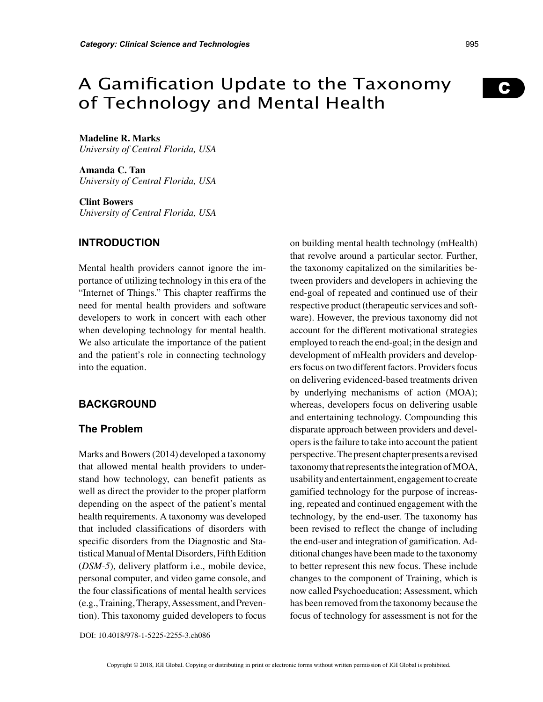# A Gamification Update to the Taxonomy of Technology and Mental Health

**Madeline R. Marks** *University of Central Florida, USA*

**Amanda C. Tan** *University of Central Florida, USA*

**Clint Bowers** *University of Central Florida, USA*

## **INTRODUCTION**

Mental health providers cannot ignore the importance of utilizing technology in this era of the "Internet of Things." This chapter reaffirms the need for mental health providers and software developers to work in concert with each other when developing technology for mental health. We also articulate the importance of the patient and the patient's role in connecting technology into the equation.

# **BACKGROUND**

# **The Problem**

Marks and Bowers (2014) developed a taxonomy that allowed mental health providers to understand how technology, can benefit patients as well as direct the provider to the proper platform depending on the aspect of the patient's mental health requirements. A taxonomy was developed that included classifications of disorders with specific disorders from the Diagnostic and Statistical Manual of Mental Disorders, Fifth Edition (*DSM-5*), delivery platform i.e., mobile device, personal computer, and video game console, and the four classifications of mental health services (e.g., Training, Therapy, Assessment, and Prevention). This taxonomy guided developers to focus on building mental health technology (mHealth) that revolve around a particular sector. Further, the taxonomy capitalized on the similarities between providers and developers in achieving the end-goal of repeated and continued use of their respective product (therapeutic services and software). However, the previous taxonomy did not account for the different motivational strategies employed to reach the end-goal; in the design and development of mHealth providers and developers focus on two different factors. Providers focus on delivering evidenced-based treatments driven by underlying mechanisms of action (MOA); whereas, developers focus on delivering usable and entertaining technology. Compounding this disparate approach between providers and developers is the failure to take into account the patient perspective. The present chapter presents a revised taxonomy that represents the integration of MOA, usability and entertainment, engagement to create gamified technology for the purpose of increasing, repeated and continued engagement with the technology, by the end-user. The taxonomy has been revised to reflect the change of including the end-user and integration of gamification. Additional changes have been made to the taxonomy to better represent this new focus. These include changes to the component of Training, which is now called Psychoeducation; Assessment, which has been removed from the taxonomy because the focus of technology for assessment is not for the C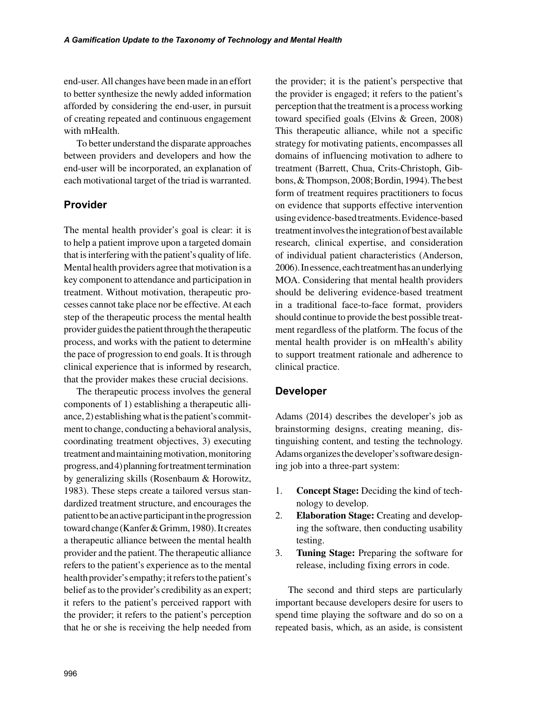end-user. All changes have been made in an effort to better synthesize the newly added information afforded by considering the end-user, in pursuit of creating repeated and continuous engagement with mHealth.

To better understand the disparate approaches between providers and developers and how the end-user will be incorporated, an explanation of each motivational target of the triad is warranted.

# **Provider**

The mental health provider's goal is clear: it is to help a patient improve upon a targeted domain that is interfering with the patient's quality of life. Mental health providers agree that motivation is a key component to attendance and participation in treatment. Without motivation, therapeutic processes cannot take place nor be effective. At each step of the therapeutic process the mental health provider guides the patient through the therapeutic process, and works with the patient to determine the pace of progression to end goals. It is through clinical experience that is informed by research, that the provider makes these crucial decisions.

The therapeutic process involves the general components of 1) establishing a therapeutic alliance, 2) establishing what is the patient's commitment to change, conducting a behavioral analysis, coordinating treatment objectives, 3) executing treatment and maintaining motivation, monitoring progress, and 4) planning for treatment termination by generalizing skills (Rosenbaum & Horowitz, 1983). These steps create a tailored versus standardized treatment structure, and encourages the patient to be an active participant in the progression toward change (Kanfer & Grimm, 1980). It creates a therapeutic alliance between the mental health provider and the patient. The therapeutic alliance refers to the patient's experience as to the mental health provider's empathy; it refers to the patient's belief as to the provider's credibility as an expert; it refers to the patient's perceived rapport with the provider; it refers to the patient's perception that he or she is receiving the help needed from the provider; it is the patient's perspective that the provider is engaged; it refers to the patient's perception that the treatment is a process working toward specified goals (Elvins & Green, 2008) This therapeutic alliance, while not a specific strategy for motivating patients, encompasses all domains of influencing motivation to adhere to treatment (Barrett, Chua, Crits-Christoph, Gibbons, & Thompson, 2008; Bordin, 1994). The best form of treatment requires practitioners to focus on evidence that supports effective intervention using evidence-based treatments. Evidence-based treatment involves the integration of best available research, clinical expertise, and consideration of individual patient characteristics (Anderson, 2006). In essence, each treatment has an underlying MOA. Considering that mental health providers should be delivering evidence-based treatment in a traditional face-to-face format, providers should continue to provide the best possible treatment regardless of the platform. The focus of the mental health provider is on mHealth's ability to support treatment rationale and adherence to clinical practice.

# **Developer**

Adams (2014) describes the developer's job as brainstorming designs, creating meaning, distinguishing content, and testing the technology. Adams organizes the developer's software designing job into a three-part system:

- 1. **Concept Stage:** Deciding the kind of technology to develop.
- 2. **Elaboration Stage:** Creating and developing the software, then conducting usability testing.
- 3. **Tuning Stage:** Preparing the software for release, including fixing errors in code.

The second and third steps are particularly important because developers desire for users to spend time playing the software and do so on a repeated basis, which, as an aside, is consistent